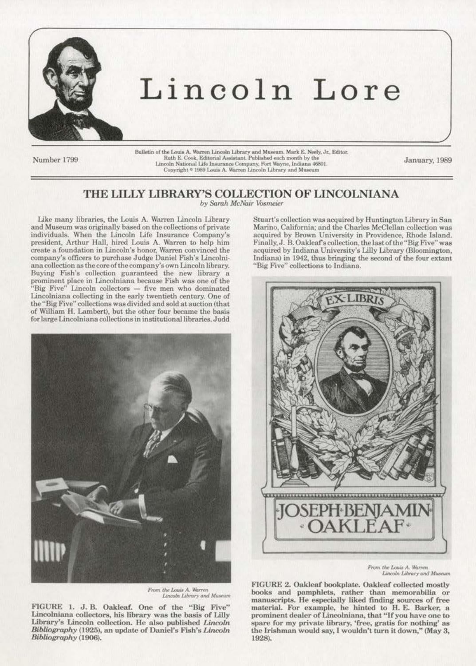

## Lincoln Lore

Number 1799

Bulletin of the Louis A. Warren Lincoln Library and Museum, Mark E. Neely, Jr., Editor, Ruth E. Cook, Editorial Assistant. Published each month by the Lincoln National Life Insurance Company, Fort Wayne, Indiana 46801.<br>Copyright \* 1989 Louis A. Warren Lincoln Library and Museum

January, 1989

## THE LILLY LIBRARY'S COLLECTION OF LINCOLNIANA

by Sarah McNair Vosmeier

Like many libraries, the Louis A. Warren Lincoln Library and Museum was originally based on the collections of private individuals. When the Lincoln Life Insurance Company's president, Arthur Hall, hired Louis A. Warren to help him create a foundation in Lincoln's honor, Warren convinced the company's officers to purchase Judge Daniel Fish's Lincolniana collection as the core of the company's own Lincoln library. Buying Fish's collection guaranteed the new library a prominent place in Lincolniana because Fish was one of the<br>"Big Five" Lincoln collectors — five men who dominated Lincolniana collecting in the early twentieth century. One of the "Big Five" collections was divided and sold at auction (that of William H. Lambert), but the other four became the basis for large Lincolniana collections in institutional libraries. Judd



From the Louis A. Warren Lincoln Library and Museum

FIGURE 1. J. B. Oakleaf. One of the "Big Five" Lincolniana collectors, his library was the basis of Lilly Library's Lincoln collection. He also published Lincoln Bibliography (1925), an update of Daniel's Fish's Lincoln Bibliography (1906).

Stuart's collection was acquired by Huntington Library in San Marino, California; and the Charles McClellan collection was acquired by Brown University in Providence, Rhode Island. Finally, J. B. Oakleaf's collection, the last of the "Big Five" was acquired by Indiana University's Lilly Library (Bloomington, Indiana) in 1942, thus bringing the second of the four extant "Big Five" collections to Indiana.



From the Louis A. Warren Lincoln Library and Museum

FIGURE 2. Oakleaf bookplate. Oakleaf collected mostly books and pamphlets, rather than memorabilia or manuscripts. He especially liked finding sources of free material. For example, he hinted to H. E. Barker, a prominent dealer of Lincolniana, that "If you have one to spare for my private library, 'free, gratis for nothing' as the Irishman would say, I wouldn't turn it down," (May 3, 1928).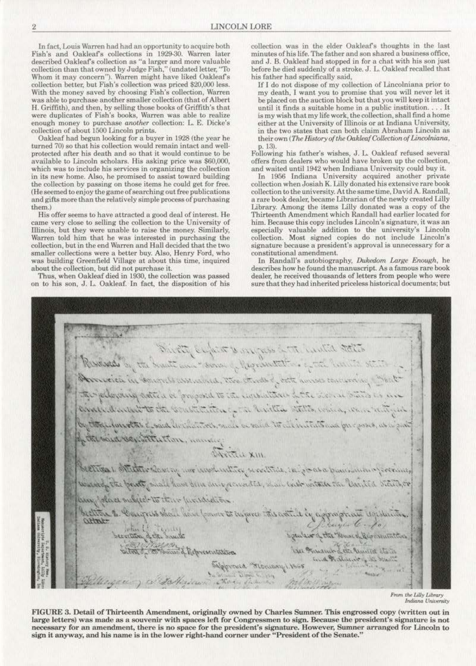In fact, Louis Warren had had an opportunity to acquire both Fish's and Oakleaf's collections in 1929-30. Warren later described Oakleaf's collection as "a larger and more valuable collection than that owned by Judge Fish," (undated letter, "To Whom it may concern'). Warren might have liked Oakleafs collection better, but Fish's collection was priced 820,000 less. With the money saved by choosing Fish's collection, Warren was able *to* purchase another smaller collection (that of Albert H. Griffith), and then, by selling those books of Griffith's that were duplicates of Fish's books, Warren was able *to* realize enough money to purchase *arwther* collection: l. E. Dicke's collection of about 1500 Lincoln prints.

Oakleaf had begun looking for a buyer in 1928 (the year he turned 70) so that his collection would remain intact and well· protected after his death and so that it would continue *to* be available to Lincoln scholars. His asking price was \$60,000, which was to include his services in organizing the collection **in its new home. Also, he promised to assist toward building**  the collection by passing on those items be could get for free. (He seemed to enjoy the game of searching out free publications and gifts more than the relatively simple process of purchasing them.)<br>His offer seems to have attracted a good deal of interest. He

came very close to selling the collection to the University of Illinois, but they were unable to raise the money. Similarly, Warren told him that he was interested in purchasing the collection, but in the end Warren and Hall decided that the two smaller collections were a better buy. Also, Henry Ford, who was building Greenfield Village at about this time, inquired about the collection, but did not purchase it.

Thus, when Oakleaf died in 1930, the collection was passed on to his son, J. L. Oakleaf. In fact, the disposition of his collection was in the elder Oakleaf's thoughts in the last minutes of his life. The father and son shared a business office, and J. B. Oakleaf had stopped in for a chat with his son just before he died suddenly of a stroke. J. L. Oakleaf recalled that his father had specifically said,

If I do not dispose of my collection of Lincolniana prior to **my death, 1 want. you to promise that you \\rill never let it**  be placed on the auction block but that you will keep it intact **until it finds a suitable home in a public institution .** ... It is my wish that my life work, the collection, shall find a home either at the University of Illinois or at Indiana University, in the two states that can both claim Abraham Lincoln as their own (The History of the Oakleaf Collection of Lincolniana, p. 13).

Following his father's wishes, J. l. Oakleaf refused several offers from dealers who would have broken up the collection, and waited until 1942 when Indiana University could buy it.

**In 1956 indiana University acquired another private**  collection when Josiah K. Lilly donated his extensive rare book collection to the university. Atthesametime, David A. Randall, a rare book dealer, became Librarian of the newly created Lilly Library. Among the items Lilly donated was a copy of the Thirteenth Amendment which Randall had earlier located for **him. Because this copy includes Lincoln's signature, it was an especially valuable addition to the university's Lincoln coUection. Most. signed copies do not include Lincoln's signature because a president's approval is unnecessary for a**  constitutional amendment.

In Randall's autobiography, *Dukedom Large Enough*, he describes how he found the manuscript. As a famous rare book dealer, he received thousands of letters from people who were sure that they had inherited priceless historical documents; but

I. The Eleventra of the description of This of the : \\\..'~~~ , '-~""" ' ~ ....... , .... ... ~ .. ,-..: t .,~...~"'""'s:::'c • --- -- <sup>~</sup>**.......** ,~~..'t.·.(...,.,. ·,,\.. ~\" ... ~ .. ' provident that a proposit to the intellection in The activity There's La attitude to a biritte states, which ditory, and a rain to the initial and on growth their wivelast said for the said constitution, manage WX WITCH beelical officinter control more involunties secutives, in grass pumerano of receive, the partly shall have been during consisted, shall with within the United States, or any place subject to their perisonation better to Congress show have former to inferce this want is in appropriate legislation. attate angles C. for beentition of the Smith wait of the Henne of Representatives Lie Principle Leta Counter States mathinder to have balgbroned "Stemany ! 1865 **Kelly** C David C. 154 There The no Continuous

From the Lilly Library *Indiana University* 

FIGURE 3. Detail of Thirteenth Amendment, originally owned by Charles Sumner. This engrossed copy (written out in large letters) was made as a souvenir with spaces left for Congressmen to sign. Because the president's signature is not necessary for an amendment, there is no space for the president's signature. However, Sumner arranged for Lincoln to sign it anyway, and his name is in the lower right-hand corner under "President of the Senate."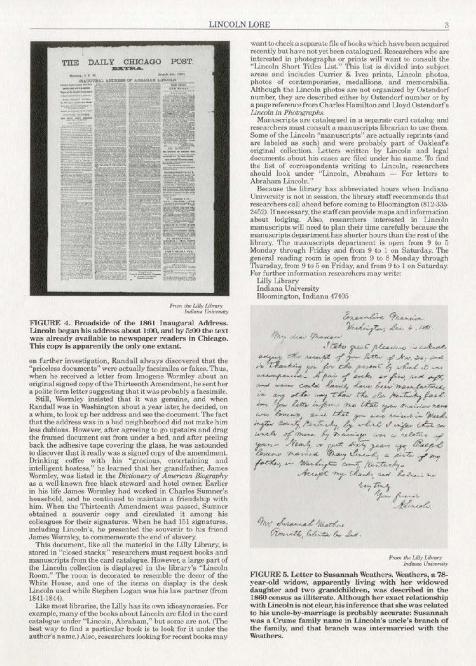

*From the Lilly Library Indiana University* 

FIGURE 4. Broadside of the 1861 Inaugural Address. Lincoln began his address about 1:00, and by 5:00 the text was already available to newspaper readers in Chicago. This copy is apparently the only one extant.

**on further investigation, Randall always discovered that. t.he**  "priceless documents" were actually facsimiles or fakes. Thus, when he received a letter from Imogene Wormley about an original signed copy of the Thirteenth Amendment, he sent her a polite form letter suggesting that it was probably a facsimile.

Still, Wormley insisted that it was genuine, and when Randall was in Washington about a year later, he decided, on a whim, to look up her address and see the document. The fact that the address was in a bad neighborhood did not make him **less dubious. However, after agreeing to go upstajrs and drag**  the framed document out from under a bed, and after pecling **back the adhesive tape covering the glass, he was astounded**  to discover that it really was a signed copy of the amendment. **Drinking coffee with his "gracious, entertaining and**  intelligent hostess," he learned that her grandfather. James Wormley, was listed in the *Dictionary of American Biography* **as a well·known free black steward and hotel owner. Earlier in his life James Wormley had worked in Charles Sumner's**  household, and he continued to maintain a friendship with him. When the Thirteenth Amendment was passed, Sumner **obtained a souvenir copy and circulated it. among his**  colleagues for their signatures. When he had 151 signatures, including Lincoln's, he presented the souvenir to his friend James Wormley, to commemorate the end of slavery.

This document, like all the material in the Lilly Library. is stored in "closed stacks;" researchers must request books and **manuscripts from the card catalogue. However, a large part of**  the Lincoln collection is displayed in the library's "Lincoln Room." The room is decorated to resemble the decor of the White House, and one of the items on display is the desk Lincoln used while Stephen Logan was his law partner (from 1841-1844).

**Uke most libraries, the Lilly has its own idiosyncrasies. For**  example, many of the books about Lincoln are filed in the card catalogue under "Uncoln, Abraham," but some arc not. (The best way to find a particular book is to look for it under the author's name.) Also, researchers looking for recent books may

want to check a separate file of books which have been acquired recently but have not yet been catalogued. Researchers who are **interested in photographs or prints will want to consult the**  "Lincoln Short Titles List." This list is divided into subject areas and includes Currier & lves prints, Lincoln photos, **photos of contemporaries. medallions, and memorabilia.**  Although the Lincoln photos are not organized by Ostendorf number, they are described either by Ostendorf number or by a page reference from Charles Hamilton and Lloyd Ostendorf's<br>Lincoln in Photographs.

*Lincoln in a separate card catalog and researchers must consult a manuscripts librarian to use them.* Some of the Lincoln "manuscripts" are actually reprints (and are labeled as such) and were probably part of Oakleaf's original collection. Letters written by Lincoln and legal documents about his cases are filed under his name. To find **the list of oorrespondenrs writing to Lincoln, researchers**  should look under "Lincoln, Abraham - For letters to Abraham Lincoln."

**Because the library has abbreviated hours when Indiana University is not in session, the library staff recommends that**  researchers call ahead before coming to Bloomington (812-335-2452). If necessary, the staff can provide maps and information **about lodging. Also. researchers interested in Linooln**  manuscripts will need to plan their time carefully because the manuscripts department has shorter hours than the rest of the **library. The manuscripts department is open from 9 LO 5**  Monday through Friday and from 9 to 1 on Saturday. The general reading room is open from 9 to 8 Monday through Thursday, from 9 to 5 on Friday, and from 9 to 1 on Saturday. For further information researchers may write:

Lilly Library

**Indiana University**  Bloomington, Indiana 47405

Executive Mension Washington; Dec. 4, 1861 My dear Madam The dear masser<br>adjing the receipt of your little of New 20, and<br>in thanking you for the present by which it was<br>accompanied - A pair of evoks are fine, and enft,<br>and were cald havily have been maintained,<br>in any other inf ion you letter inform that you and trailer news loves are that you use raised in Mark.<br>Unifor county, Nantucky, by which it injer that are<br>uncle of more by macing was a relative of<br>your- Nearly or gut sixty years ago, Raep hands, and helien in<br>bey truly<br>Hinedie mr Susannah Mathus Roseville Coliston las Ind.

> From the Lilly Library *Indiano University*

FIGURE 5. Letter to Susannah Weathers. Weathers, a 7Syear-old widow, apparently living with her widowed daughter and two grandchildren, was described in the 1860 census as illiterate. Although her exact relationship with Lincoln is not clear. his inference that she was related to his uncle-by-marriage is probably accurate: Susannah **was a Cn.une family name in Lincoln's uncle's branch of**  the family, and that branch was intermarried with the Weathers.